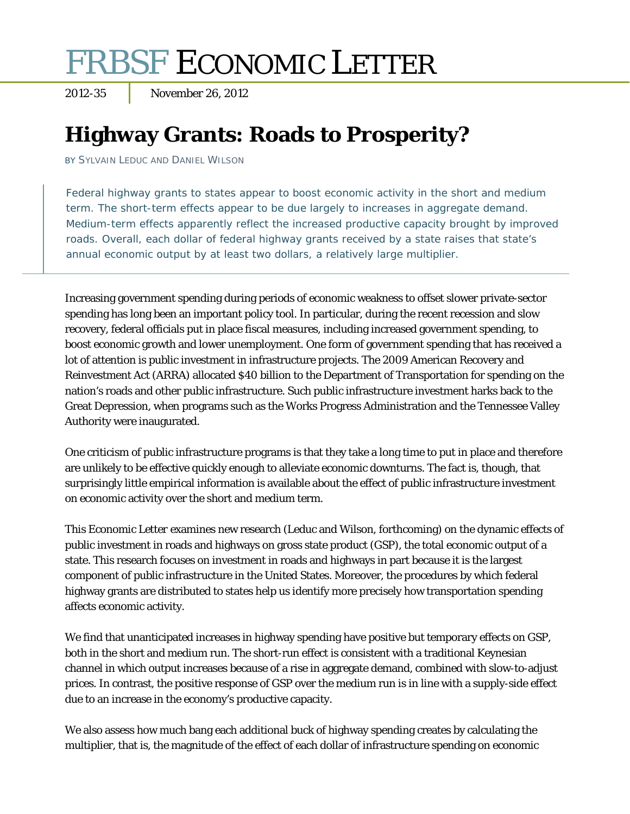# FRBSF ECONOMIC LETTER

2012-35 November 26, 2012

## **Highway Grants: Roads to Prosperity?**

BY SYLVAIN LEDUC AND DANIEL WILSON

Federal highway grants to states appear to boost economic activity in the short and medium term. The short-term effects appear to be due largely to increases in aggregate demand. Medium-term effects apparently reflect the increased productive capacity brought by improved roads. Overall, each dollar of federal highway grants received by a state raises that state's annual economic output by at least two dollars, a relatively large multiplier.

Increasing government spending during periods of economic weakness to offset slower private-sector spending has long been an important policy tool. In particular, during the recent recession and slow recovery, federal officials put in place fiscal measures, including increased government spending, to boost economic growth and lower unemployment. One form of government spending that has received a lot of attention is public investment in infrastructure projects. The 2009 American Recovery and Reinvestment Act (ARRA) allocated \$40 billion to the Department of Transportation for spending on the nation's roads and other public infrastructure. Such public infrastructure investment harks back to the Great Depression, when programs such as the Works Progress Administration and the Tennessee Valley Authority were inaugurated.

One criticism of public infrastructure programs is that they take a long time to put in place and therefore are unlikely to be effective quickly enough to alleviate economic downturns. The fact is, though, that surprisingly little empirical information is available about the effect of public infrastructure investment on economic activity over the short and medium term.

This *Economic Letter* examines new research (Leduc and Wilson, forthcoming) on the dynamic effects of public investment in roads and highways on gross state product (GSP), the total economic output of a state. This research focuses on investment in roads and highways in part because it is the largest component of public infrastructure in the United States. Moreover, the procedures by which federal highway grants are distributed to states help us identify more precisely how transportation spending affects economic activity.

We find that unanticipated increases in highway spending have positive but temporary effects on GSP, both in the short and medium run. The short-run effect is consistent with a traditional Keynesian channel in which output increases because of a rise in aggregate demand, combined with slow-to-adjust prices. In contrast, the positive response of GSP over the medium run is in line with a supply-side effect due to an increase in the economy's productive capacity.

We also assess how much bang each additional buck of highway spending creates by calculating the multiplier, that is, the magnitude of the effect of each dollar of infrastructure spending on economic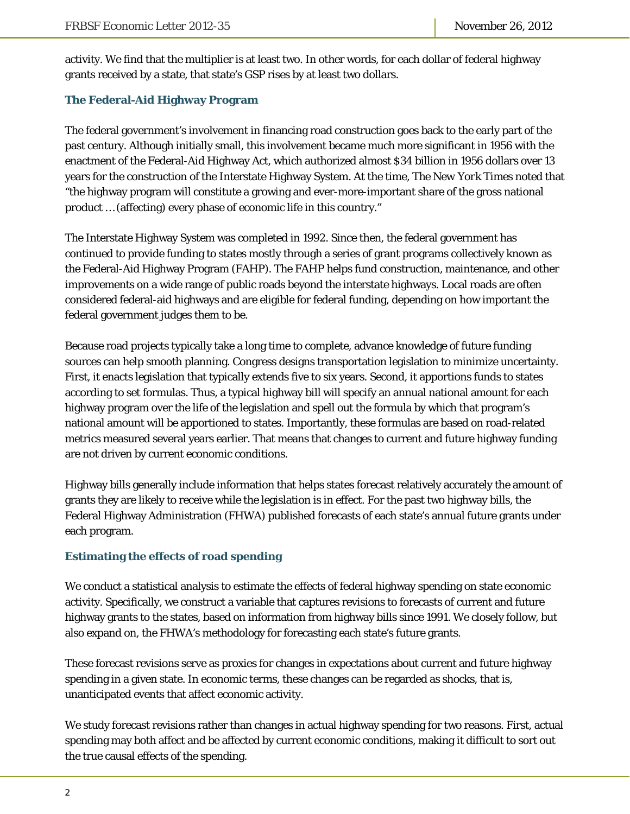activity. We find that the multiplier is at least two. In other words, for each dollar of federal highway grants received by a state, that state's GSP rises by at least two dollars.

#### **The Federal-Aid Highway Program**

The federal government's involvement in financing road construction goes back to the early part of the past century. Although initially small, this involvement became much more significant in 1956 with the enactment of the Federal-Aid Highway Act, which authorized almost \$34 billion in 1956 dollars over 13 years for the construction of the Interstate Highway System. At the time, *The New York Times* noted that "the highway program will constitute a growing and ever-more-important share of the gross national product … (affecting) every phase of economic life in this country."

The Interstate Highway System was completed in 1992. Since then, the federal government has continued to provide funding to states mostly through a series of grant programs collectively known as the Federal-Aid Highway Program (FAHP). The FAHP helps fund construction, maintenance, and other improvements on a wide range of public roads beyond the interstate highways. Local roads are often considered federal-aid highways and are eligible for federal funding, depending on how important the federal government judges them to be.

Because road projects typically take a long time to complete, advance knowledge of future funding sources can help smooth planning. Congress designs transportation legislation to minimize uncertainty. First, it enacts legislation that typically extends five to six years. Second, it apportions funds to states according to set formulas. Thus, a typical highway bill will specify an annual national amount for each highway program over the life of the legislation and spell out the formula by which that program's national amount will be apportioned to states. Importantly, these formulas are based on road-related metrics measured several years earlier. That means that changes to current and future highway funding are not driven by current economic conditions.

Highway bills generally include information that helps states forecast relatively accurately the amount of grants they are likely to receive while the legislation is in effect. For the past two highway bills, the Federal Highway Administration (FHWA) published forecasts of each state's annual future grants under each program.

### **Estimating the effects of road spending**

We conduct a statistical analysis to estimate the effects of federal highway spending on state economic activity. Specifically, we construct a variable that captures revisions to forecasts of current and future highway grants to the states, based on information from highway bills since 1991. We closely follow, but also expand on, the FHWA's methodology for forecasting each state's future grants.

These forecast revisions serve as proxies for changes in expectations about current and future highway spending in a given state. In economic terms, these changes can be regarded as shocks, that is, unanticipated events that affect economic activity.

We study forecast revisions rather than changes in actual highway spending for two reasons. First, actual spending may both affect and be affected by current economic conditions, making it difficult to sort out the true causal effects of the spending.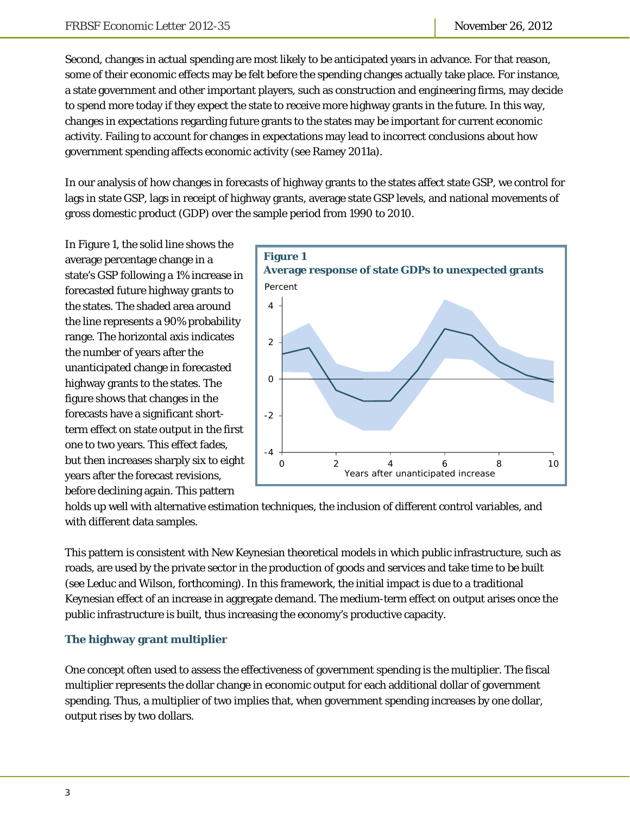Second, changes in actual spending are most likely to be anticipated years in advance. For that reason, some of their economic effects may be felt before the spending changes actually take place. For instance, a state government and other important players, such as construction and engineering firms, may decide to spend more today if they expect the state to receive more highway grants in the future. In this way, changes in expectations regarding future grants to the states may be important for current economic activity. Failing to account for changes in expectations may lead to incorrect conclusions about how government spending affects economic activity (see Ramey 2011a).

In our analysis of how changes in forecasts of highway grants to the states affect state GSP, we control for lags in state GSP, lags in receipt of highway grants, average state GSP levels, and national movements of gross domestic product (GDP) over the sample period from 1990 to 2010.

In Figure 1, the solid line shows the average percentage change in a state's GSP following a 1% increase in forecasted future highway grants to the states. The shaded area around the line represents a 90% probability range. The horizontal axis indicates the number of years after the unanticipated change in forecasted highway grants to the states. The figure shows that changes in the forecasts have a significant shortterm effect on state output in the first one to two years. This effect fades, but then increases sharply six to eight years after the forecast revisions, before declining again. This pattern



holds up well with alternative estimation techniques, the inclusion of different control variables, and with different data samples.

This pattern is consistent with New Keynesian theoretical models in which public infrastructure, such as roads, are used by the private sector in the production of goods and services and take time to be built (see Leduc and Wilson, forthcoming). In this framework, the initial impact is due to a traditional Keynesian effect of an increase in aggregate demand. The medium-term effect on output arises once the public infrastructure is built, thus increasing the economy's productive capacity.

### **The highway grant multiplier**

One concept often used to assess the effectiveness of government spending is the multiplier. The fiscal multiplier represents the dollar change in economic output for each additional dollar of government spending. Thus, a multiplier of two implies that, when government spending increases by one dollar, output rises by two dollars.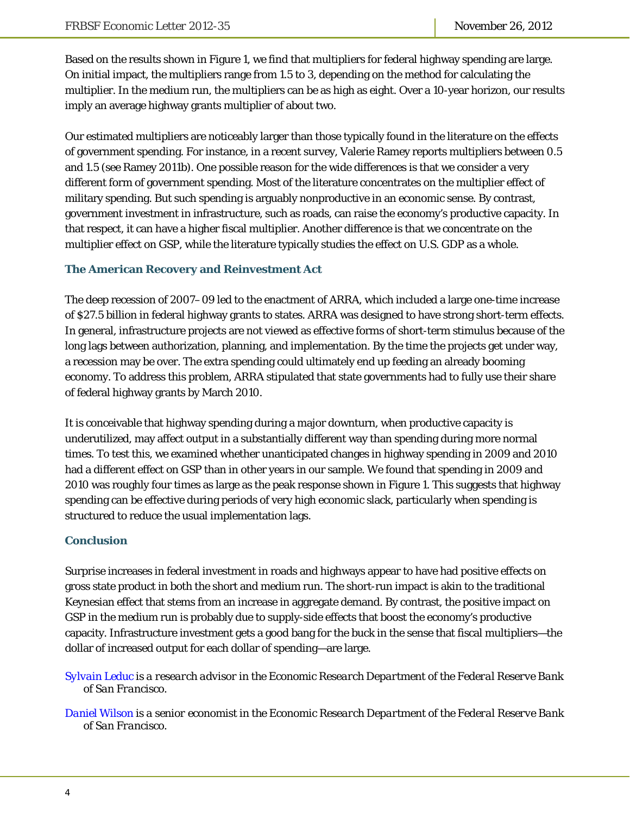Based on the results shown in Figure 1, we find that multipliers for federal highway spending are large. On initial impact, the multipliers range from 1.5 to 3, depending on the method for calculating the multiplier. In the medium run, the multipliers can be as high as eight. Over a 10-year horizon, our results imply an average highway grants multiplier of about two.

Our estimated multipliers are noticeably larger than those typically found in the literature on the effects of government spending. For instance, in a recent survey, Valerie Ramey reports multipliers between 0.5 and 1.5 (see Ramey 2011b). One possible reason for the wide differences is that we consider a very different form of government spending. Most of the literature concentrates on the multiplier effect of military spending. But such spending is arguably nonproductive in an economic sense. By contrast, government investment in infrastructure, such as roads, can raise the economy's productive capacity. In that respect, it can have a higher fiscal multiplier. Another difference is that we concentrate on the multiplier effect on GSP, while the literature typically studies the effect on U.S. GDP as a whole.

#### **The American Recovery and Reinvestment Act**

The deep recession of 2007–09 led to the enactment of ARRA, which included a large one-time increase of \$27.5 billion in federal highway grants to states. ARRA was designed to have strong short-term effects. In general, infrastructure projects are not viewed as effective forms of short-term stimulus because of the long lags between authorization, planning, and implementation. By the time the projects get under way, a recession may be over. The extra spending could ultimately end up feeding an already booming economy. To address this problem, ARRA stipulated that state governments had to fully use their share of federal highway grants by March 2010.

It is conceivable that highway spending during a major downturn, when productive capacity is underutilized, may affect output in a substantially different way than spending during more normal times. To test this, we examined whether unanticipated changes in highway spending in 2009 and 2010 had a different effect on GSP than in other years in our sample. We found that spending in 2009 and 2010 was roughly four times as large as the peak response shown in Figure 1. This suggests that highway spending can be effective during periods of very high economic slack, particularly when spending is structured to reduce the usual implementation lags.

#### **Conclusion**

Surprise increases in federal investment in roads and highways appear to have had positive effects on gross state product in both the short and medium run. The short-run impact is akin to the traditional Keynesian effect that stems from an increase in aggregate demand. By contrast, the positive impact on GSP in the medium run is probably due to supply-side effects that boost the economy's productive capacity. Infrastructure investment gets a good bang for the buck in the sense that fiscal multipliers—the dollar of increased output for each dollar of spending—are large.

*[Sylvain Leduc is](http://www.frbsf.org/economics/economists/staff.php?sleduc) a research advisor in the Economic Research Department of the Federal Reserve Bank of San Francisco.* 

*[Daniel Wilson is a](http://www.frbsf.org/economics/economists/staff.php?dwilson) senior economist in the Economic Research Department of the Federal Reserve Bank of San Francisco.*